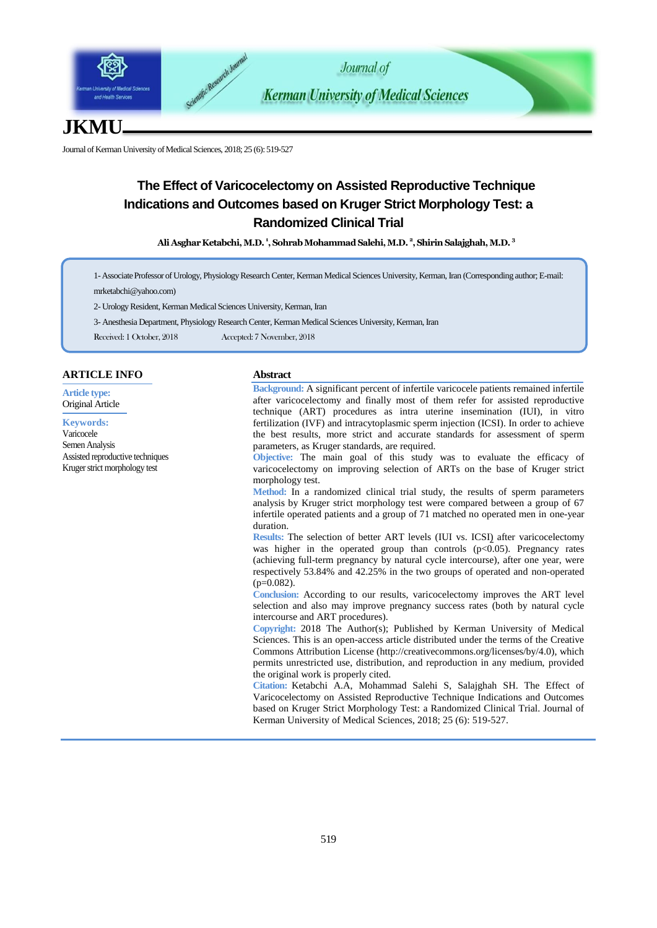

# **JKMU**

Journal of Kerman University of Medical Sciences, 2018; 25 (6): 519-527

# **The Effect of Varicocelectomy on Assisted Reproductive Technique Indications and Outcomes based on Kruger Strict Morphology Test: a Randomized Clinical Trial**

**Ali Asghar Ketabchi,M.D. <sup>1</sup> , Sohrab Mohammad Salehi,M.D. <sup>2</sup> , Shirin Salajghah,M.D. <sup>3</sup>**

1-Associate Professor of Urology, Physiology Research Center, Kerman Medical Sciences University, Kerman, Iran (Corresponding author; E-mail: mrketabchi@yahoo.com)

2- Urology Resident, Kerman Medical Sciences University, Kerman, Iran

3- Anesthesia Department, Physiology Research Center, Kerman Medical Sciences University, Kerman, Iran

Received: 1 October, 2018 Accepted: 7 November, 2018

## **ARTICLE INFO**

**Article type:** Original Article

**Keywords:** Varicocele Semen Analysis Assisted reproductive techniques Kruger strict morphology test

#### **Abstract**

**Background:** A significant percent of infertile varicocele patients remained infertile after varicocelectomy and finally most of them refer for assisted reproductive technique (ART) procedures as intra uterine insemination (IUI), in vitro fertilization (IVF) and intracytoplasmic sperm injection (ICSI). In order to achieve the best results, more strict and accurate standards for assessment of sperm parameters, as Kruger standards, are required.

**Objective:** The main goal of this study was to evaluate the efficacy of varicocelectomy on improving selection of ARTs on the base of Kruger strict morphology test.

**Method:** In a randomized clinical trial study, the results of sperm parameters analysis by Kruger strict morphology test were compared between a group of 67 infertile operated patients and a group of 71 matched no operated men in one-year duration.

**Results:** The selection of better ART levels (IUI vs. ICSI) after varicocelectomy was higher in the operated group than controls  $(p<0.05)$ . Pregnancy rates (achieving full-term pregnancy by natural cycle intercourse), after one year, were respectively 53.84% and 42.25% in the two groups of operated and non-operated  $(p=0.082)$ .

**Conclusion:** According to our results, varicocelectomy improves the ART level selection and also may improve pregnancy success rates (both by natural cycle intercourse and ART procedures).

**Copyright:** 2018 The Author(s); Published by Kerman University of Medical Sciences. This is an open-access article distributed under the terms of the Creative Commons Attribution License (http://creativecommons.org/licenses/by/4.0), which permits unrestricted use, distribution, and reproduction in any medium, provided the original work is properly cited.

**Citation:** Ketabchi A.A, Mohammad Salehi S, Salajghah SH. The Effect of Varicocelectomy on Assisted Reproductive Technique Indications and Outcomes based on Kruger Strict Morphology Test: a Randomized Clinical Trial. Journal of Kerman University of Medical Sciences, 2018; 25 (6): 519-527.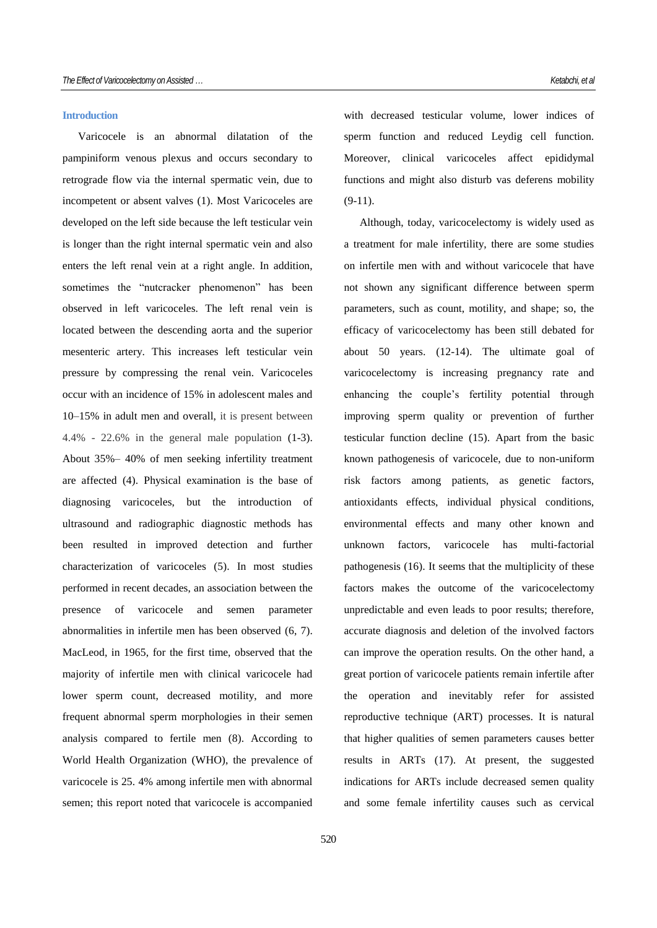#### **Introduction**

Varicocele is an abnormal dilatation of the pampiniform venous plexus and occurs secondary to retrograde flow via the internal spermatic vein, due to incompetent or absent valves (1). Most Varicoceles are developed on the left side because the left testicular vein is longer than the right internal spermatic vein and also enters the left renal vein at a right angle. In addition, sometimes the "nutcracker phenomenon" has been observed in left varicoceles. The left renal vein is located between the descending aorta and the superior mesenteric artery. This increases left testicular vein pressure by compressing the renal vein. Varicoceles occur with an incidence of 15% in adolescent males and 10–15% in adult men and overall, it is present between 4.4% - 22.6% in the general male population (1-3). About 35%– 40% of men seeking infertility treatment are affected (4). Physical examination is the base of diagnosing varicoceles, but the introduction of ultrasound and radiographic diagnostic methods has been resulted in improved detection and further characterization of varicoceles (5). In most studies performed in recent decades, an association between the presence of varicocele and semen parameter abnormalities in infertile men has been observed (6, 7). MacLeod, in 1965, for the first time, observed that the majority of infertile men with clinical varicocele had lower sperm count, decreased motility, and more frequent abnormal sperm morphologies in their semen analysis compared to fertile men (8). According to World Health Organization (WHO), the prevalence of varicocele is 25. 4% among infertile men with abnormal semen; this report noted that varicocele is accompanied

with decreased testicular volume, lower indices of sperm function and reduced Leydig cell function. Moreover, clinical varicoceles affect epididymal functions and might also disturb vas deferens mobility (9-11).

Although, today, varicocelectomy is widely used as a treatment for male infertility, there are some studies on infertile men with and without varicocele that have not shown any significant difference between sperm parameters, such as count, motility, and shape; so, the efficacy of varicocelectomy has been still debated for about 50 years. (12-14). The ultimate goal of varicocelectomy is increasing pregnancy rate and enhancing the couple's fertility potential through improving sperm quality or prevention of further testicular function decline (15). Apart from the basic known pathogenesis of varicocele, due to non-uniform risk factors among patients, as genetic factors, antioxidants effects, individual physical conditions, environmental effects and many other known and unknown factors, varicocele has multi-factorial pathogenesis (16). It seems that the multiplicity of these factors makes the outcome of the varicocelectomy unpredictable and even leads to poor results; therefore, accurate diagnosis and deletion of the involved factors can improve the operation results. On the other hand, a great portion of varicocele patients remain infertile after the operation and inevitably refer for assisted reproductive technique (ART) processes. It is natural that higher qualities of semen parameters causes better results in ARTs (17). At present, the suggested indications for ARTs include decreased semen quality and some female infertility causes such as cervical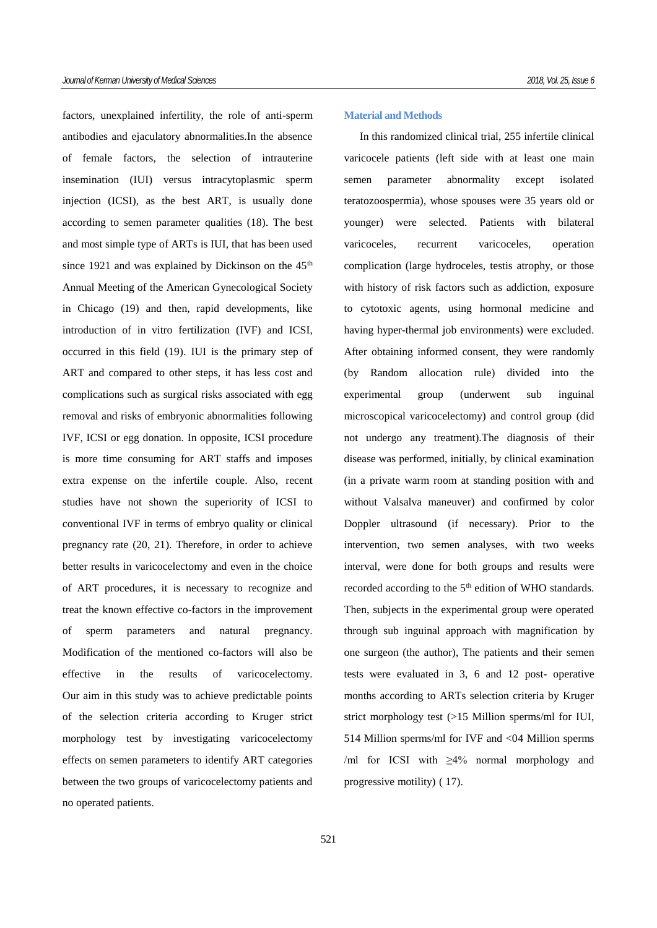factors, unexplained infertility, the role of anti-sperm antibodies and ejaculatory abnormalities.In the absence of female factors, the selection of intrauterine insemination (IUI) versus intracytoplasmic sperm injection (ICSI), as the best ART, is usually done according to semen parameter qualities (18). The best and most simple type of ARTs is IUI, that has been used since 1921 and was explained by Dickinson on the  $45<sup>th</sup>$ Annual Meeting of the American Gynecological Society in Chicago (19) and then, rapid developments, like introduction of in vitro fertilization (IVF) and ICSI, occurred in this field (19). IUI is the primary step of ART and compared to other steps, it has less cost and complications such as surgical risks associated with egg removal and risks of embryonic abnormalities following IVF, ICSI or egg donation. In opposite, ICSI procedure is more time consuming for ART staffs and imposes extra expense on the infertile couple. Also, recent studies have not shown the superiority of ICSI to conventional IVF in terms of embryo quality or clinical pregnancy rate (20, 21). Therefore, in order to achieve better results in varicocelectomy and even in the choice of ART procedures, it is necessary to recognize and treat the known effective co-factors in the improvement of sperm parameters and natural pregnancy. Modification of the mentioned co-factors will also be effective in the results of varicocelectomy. Our aim in this study was to achieve predictable points of the selection criteria according to Kruger strict morphology test by investigating varicocelectomy effects on semen parameters to identify ART categories between the two groups of varicocelectomy patients and no operated patients.

#### **Material and Methods**

In this randomized clinical trial, 255 infertile clinical varicocele patients (left side with at least one main semen parameter abnormality except isolated teratozoospermia), whose spouses were 35 years old or younger) were selected. Patients with bilateral varicoceles, recurrent varicoceles, operation complication (large hydroceles, testis atrophy, or those with history of risk factors such as addiction, exposure to cytotoxic agents, using hormonal medicine and having hyper-thermal job environments) were excluded. After obtaining informed consent, they were randomly (by Random allocation rule) divided into the experimental group (underwent sub inguinal microscopical varicocelectomy) and control group (did not undergo any treatment).The diagnosis of their disease was performed, initially, by clinical examination (in a private warm room at standing position with and without Valsalva maneuver) and confirmed by color Doppler ultrasound (if necessary). Prior to the intervention, two semen analyses, with two weeks interval, were done for both groups and results were recorded according to the 5<sup>th</sup> edition of WHO standards. Then, subjects in the experimental group were operated through sub inguinal approach with magnification by one surgeon (the author), The patients and their semen tests were evaluated in 3, 6 and 12 post- operative months according to ARTs selection criteria by Kruger strict morphology test (>15 Million sperms/ml for IUI, 514 Million sperms/ml for IVF and <04 Million sperms /ml for ICSI with ≥4% normal morphology and progressive motility) ( 17).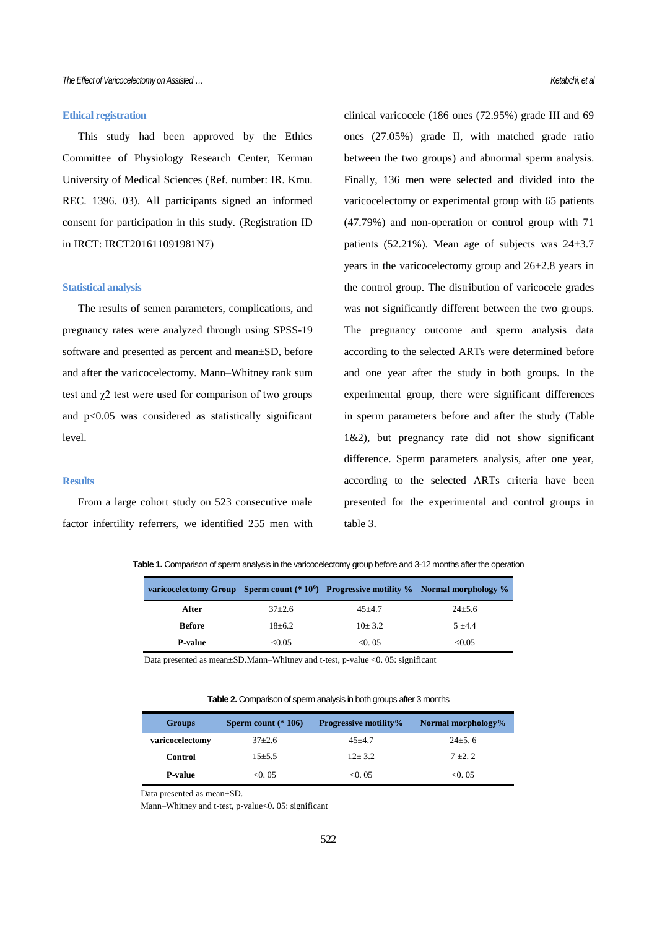#### **Ethical registration**

This study had been approved by the Ethics Committee of Physiology Research Center, Kerman University of Medical Sciences (Ref. number: IR. Kmu. REC. 1396. 03). All participants signed an informed consent for participation in this study. (Registration ID in IRCT: IRCT201611091981N7)

#### **Statistical analysis**

The results of semen parameters, complications, and pregnancy rates were analyzed through using SPSS-19 software and presented as percent and mean±SD, before and after the varicocelectomy. Mann–Whitney rank sum test and  $\chi$ 2 test were used for comparison of two groups and p<0.05 was considered as statistically significant level.

### **Results**

From a large cohort study on 523 consecutive male factor infertility referrers, we identified 255 men with clinical varicocele (186 ones (72.95%) grade III and 69 ones (27.05%) grade II, with matched grade ratio between the two groups) and abnormal sperm analysis. Finally, 136 men were selected and divided into the varicocelectomy or experimental group with 65 patients (47.79%) and non-operation or control group with 71 patients (52.21%). Mean age of subjects was  $24\pm3.7$ years in the varicocelectomy group and 26±2.8 years in the control group. The distribution of varicocele grades was not significantly different between the two groups. The pregnancy outcome and sperm analysis data according to the selected ARTs were determined before and one year after the study in both groups. In the experimental group, there were significant differences in sperm parameters before and after the study (Table 1&2), but pregnancy rate did not show significant difference. Sperm parameters analysis, after one year, according to the selected ARTs criteria have been presented for the experimental and control groups in table 3.

|  | Table 1. Comparison of sperm analysis in the varicocelectomy group before and 3-12 months after the operation |  |  |
|--|---------------------------------------------------------------------------------------------------------------|--|--|
|  |                                                                                                               |  |  |

|               |              | varicocelectomy Group Sperm count (* 10 <sup>6</sup> ) Progressive motility % Normal morphology % |             |
|---------------|--------------|---------------------------------------------------------------------------------------------------|-------------|
| After         | $37+2.6$     | $45 + 4.7$                                                                                        | $24\pm 5.6$ |
| <b>Before</b> | $18 \pm 6.2$ | $10+3.2$                                                                                          | $5 + 4.4$   |
| P-value       | $<\!\!0.05$  | < 0.05                                                                                            | < 0.05      |

Data presented as mean±SD.Mann–Whitney and t-test, p-value <0. 05: significant

**Table 2.** Comparison of sperm analysis in both groups after 3 months

| <b>Groups</b>   | Sperm count $(* 106)$ | <b>Progressive motility%</b> | Normal morphology% |
|-----------------|-----------------------|------------------------------|--------------------|
| varicocelectomy | $37+2.6$              | $45 + 4.7$                   | $24\pm 5.6$        |
| Control         | $15 + 5.5$            | $12 + 3.2$                   | $7 + 2.2$          |
| <b>P-value</b>  | < 0.05                | < 0.05                       | < 0.05             |

Data presented as mean±SD.

Mann–Whitney and t-test, p-value<0. 05: significant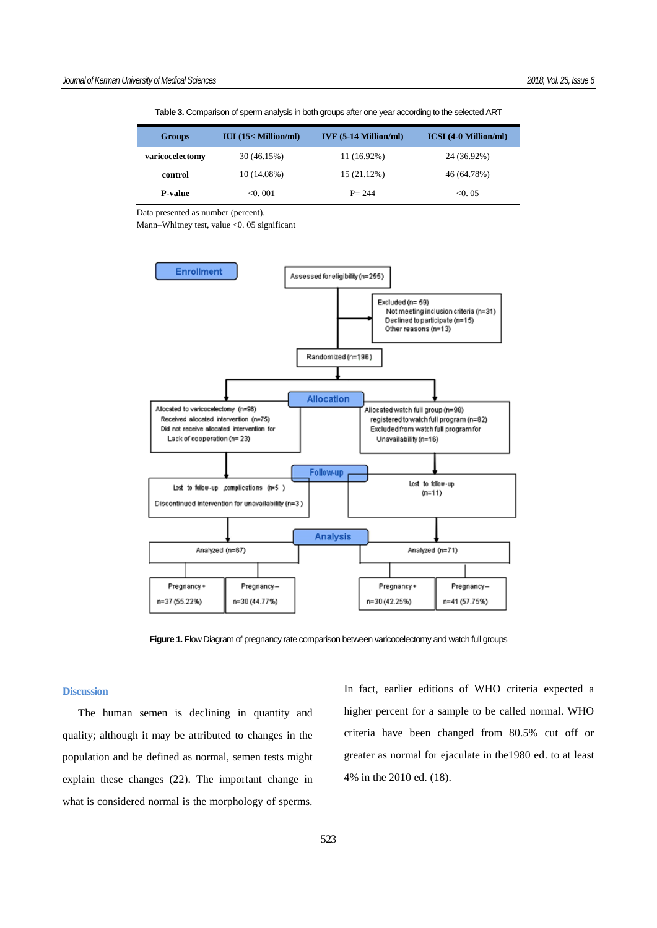| <b>Groups</b>   | $IUI$ (15< Million/ml) | $IVF$ (5-14 Million/ml) | <b>ICSI</b> (4-0 Million/ml) |
|-----------------|------------------------|-------------------------|------------------------------|
| varicocelectomy | 30 (46.15%)            | 11 (16.92%)             | 24 (36.92%)                  |
| control         | 10 (14.08%)            | 15 (21.12%)             | 46 (64.78%)                  |
| <b>P-value</b>  | < 0.001                | $P = 244$               | < 0.05                       |

**Table 3.** Comparison of sperm analysis in both groups after one year according to the selected ART

Data presented as number (percent).

Mann–Whitney test, value <0. 05 significant



**Figure 1.** Flow Diagram of pregnancy rate comparison between varicocelectomy and watch full groups

#### **Discussion**

The human semen is declining in quantity and quality; although it may be attributed to changes in the population and be defined as normal, semen tests might explain these changes (22). The important change in what is considered normal is the morphology of sperms. In fact, earlier editions of WHO criteria expected a higher percent for a sample to be called normal. WHO criteria have been changed from 80.5% cut off or greater as normal for ejaculate in the1980 ed. to at least 4% in the 2010 ed. (18).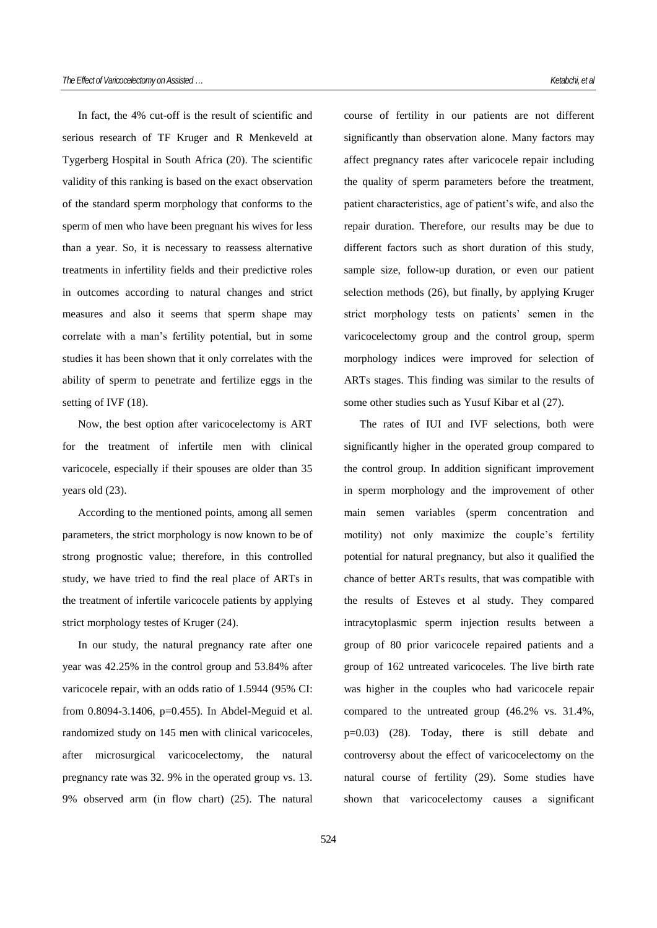In fact, the 4% cut-off is the result of scientific and serious research of TF Kruger and R Menkeveld at Tygerberg Hospital in South Africa (20). The scientific validity of this ranking is based on the exact observation of the standard sperm morphology that conforms to the sperm of men who have been pregnant his wives for less than a year. So, it is necessary to reassess alternative treatments in infertility fields and their predictive roles in outcomes according to natural changes and strict measures and also it seems that sperm shape may correlate with a man's fertility potential, but in some studies it has been shown that it only correlates with the ability of sperm to penetrate and fertilize eggs in the setting of IVF (18).

Now, the best option after varicocelectomy is ART for the treatment of infertile men with clinical varicocele, especially if their spouses are older than 35 years old (23).

According to the mentioned points, among all semen parameters, the strict morphology is now known to be of strong prognostic value; therefore, in this controlled study, we have tried to find the real place of ARTs in the treatment of infertile varicocele patients by applying strict morphology testes of Kruger (24).

In our study, the natural pregnancy rate after one year was 42.25% in the control group and 53.84% after varicocele repair, with an odds ratio of 1.5944 (95% CI: from  $0.8094 - 3.1406$ ,  $p=0.455$ ). In Abdel-Meguid et al. randomized study on 145 men with clinical varicoceles, after microsurgical varicocelectomy, the natural pregnancy rate was 32. 9% in the operated group vs. 13. 9% observed arm (in flow chart) (25). The natural course of fertility in our patients are not different significantly than observation alone. Many factors may affect pregnancy rates after varicocele repair including the quality of sperm parameters before the treatment, patient characteristics, age of patient's wife, and also the repair duration. Therefore, our results may be due to different factors such as short duration of this study, sample size, follow-up duration, or even our patient selection methods (26), but finally, by applying Kruger strict morphology tests on patients' semen in the varicocelectomy group and the control group, sperm morphology indices were improved for selection of ARTs stages. This finding was similar to the results of some other studies such as Yusuf Kibar et al (27).

The rates of IUI and IVF selections, both were significantly higher in the operated group compared to the control group. In addition significant improvement in sperm morphology and the improvement of other main semen variables (sperm concentration and motility) not only maximize the couple's fertility potential for natural pregnancy, but also it qualified the chance of better ARTs results, that was compatible with the results of Esteves et al study. They compared intracytoplasmic sperm injection results between a group of 80 prior varicocele repaired patients and a group of 162 untreated varicoceles. The live birth rate was higher in the couples who had varicocele repair compared to the untreated group (46.2% vs. 31.4%, p=0.03) (28). Today, there is still debate and controversy about the effect of varicocelectomy on the natural course of fertility (29). Some studies have shown that varicocelectomy causes a significant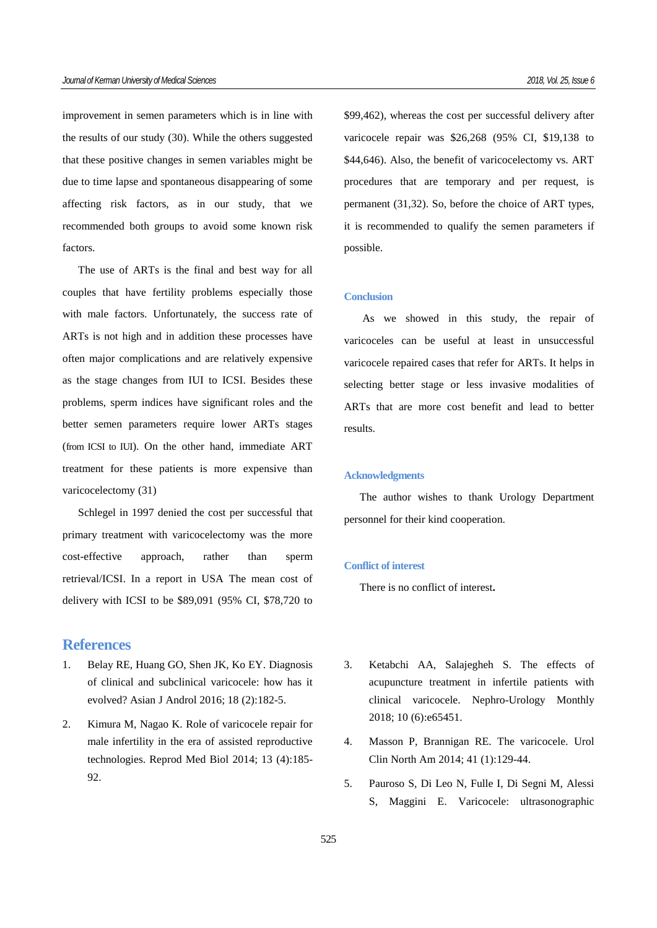improvement in semen parameters which is in line with the results of our study (30). While the others suggested that these positive changes in semen variables might be due to time lapse and spontaneous disappearing of some affecting risk factors, as in our study, that we recommended both groups to avoid some known risk factors.

The use of ARTs is the final and best way for all couples that have fertility problems especially those with male factors. Unfortunately, the success rate of ARTs is not high and in addition these processes have often major complications and are relatively expensive as the stage changes from IUI to ICSI. Besides these problems, sperm indices have significant roles and the better semen parameters require lower ARTs stages (from ICSI to IUI). On the other hand, immediate ART treatment for these patients is more expensive than varicocelectomy (31)

Schlegel in 1997 denied the cost per successful that primary treatment with varicocelectomy was the more cost-effective approach, rather than sperm retrieval/ICSI. In a report in USA The mean cost of delivery with ICSI to be \$89,091 (95% CI, \$78,720 to

# **References**

- 1. Belay RE, Huang GO, Shen JK, Ko EY. Diagnosis of clinical and subclinical varicocele: how has it evolved? Asian J Androl 2016; 18 (2):182-5.
- 2. Kimura M, Nagao K. Role of varicocele repair for male infertility in the era of assisted reproductive technologies. Reprod Med Biol 2014; 13 (4):185- 92.

\$99,462), whereas the cost per successful delivery after varicocele repair was \$26,268 (95% CI, \$19,138 to \$44,646). Also, the benefit of varicocelectomy vs. ART procedures that are temporary and per request, is permanent (31,32). So, before the choice of ART types, it is recommended to qualify the semen parameters if possible.

### **Conclusion**

As we showed in this study, the repair of varicoceles can be useful at least in unsuccessful varicocele repaired cases that refer for ARTs. It helps in selecting better stage or less invasive modalities of ARTs that are more cost benefit and lead to better results.

#### **Acknowledgments**

The author wishes to thank Urology Department personnel for their kind cooperation.

#### **Conflict of interest**

There is no conflict of interest**.**

- 3. Ketabchi AA, Salajegheh S. The effects of acupuncture treatment in infertile patients with clinical varicocele. Nephro-Urology Monthly 2018; 10 (6):e65451.
- 4. Masson P, Brannigan RE. The varicocele. Urol Clin North Am 2014; 41 (1):129-44.
- 5. Pauroso S, Di Leo N, Fulle I, Di Segni M, Alessi S, Maggini E. Varicocele: ultrasonographic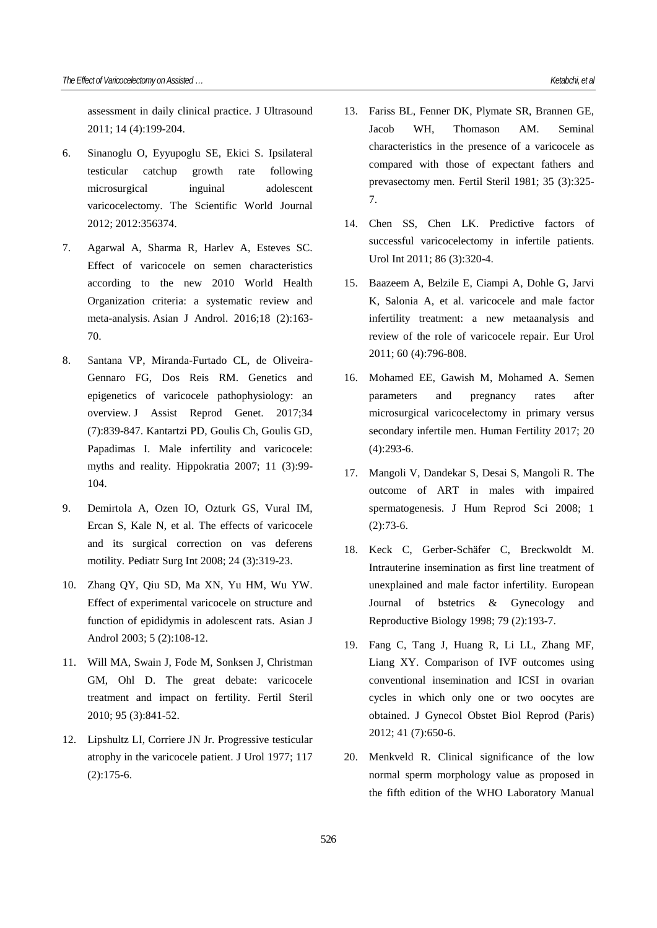assessment in daily clinical practice. J Ultrasound 2011; 14 (4):199-204.

- 6. Sinanoglu O, Eyyupoglu SE, Ekici S. Ipsilateral testicular catchup growth rate following microsurgical inguinal adolescent varicocelectomy. The Scientific World Journal 2012; 2012:356374.
- 7. Agarwal A, Sharma R, Harlev A, Esteves SC. Effect of varicocele on semen characteristics according to the new 2010 World Health Organization criteria: a systematic review and meta-analysis. Asian J Androl. 2016;18 (2):163- 70.
- 8. Santana VP, Miranda-Furtado CL, de Oliveira-Gennaro FG, Dos Reis RM. Genetics and epigenetics of varicocele pathophysiology: an overview. J Assist Reprod Genet. 2017;34 (7):839-847. Kantartzi PD, Goulis Ch, Goulis GD, Papadimas I. Male infertility and varicocele: myths and reality. Hippokratia 2007; 11 (3):99- 104.
- 9. Demirtola A, Ozen IO, Ozturk GS, Vural IM, Ercan S, Kale N, et al. The effects of varicocele and its surgical correction on vas deferens motility. Pediatr Surg Int 2008; 24 (3):319-23.
- 10. Zhang QY, Qiu SD, Ma XN, Yu HM, Wu YW. Effect of experimental varicocele on structure and function of epididymis in adolescent rats. Asian J Androl 2003; 5 (2):108-12.
- 11. Will MA, Swain J, Fode M, Sonksen J, Christman GM, Ohl D. The great debate: varicocele treatment and impact on fertility. Fertil Steril 2010; 95 (3):841-52.
- 12. Lipshultz LI, Corriere JN Jr. Progressive testicular atrophy in the varicocele patient. J Urol 1977; 117 (2):175-6.
- 13. Fariss BL, Fenner DK, Plymate SR, Brannen GE, Jacob WH, Thomason AM. Seminal characteristics in the presence of a varicocele as
	- compared with those of expectant fathers and prevasectomy men. Fertil Steril 1981; 35 (3):325- 7.
- 14. Chen SS, Chen LK. Predictive factors of successful varicocelectomy in infertile patients. Urol Int 2011; 86 (3):320-4.
- 15. Baazeem A, Belzile E, Ciampi A, Dohle G, Jarvi K, Salonia A, et al. varicocele and male factor infertility treatment: a new metaanalysis and review of the role of varicocele repair. Eur Urol 2011; 60 (4):796-808.
- 16. Mohamed EE, Gawish M, Mohamed A. Semen parameters and pregnancy rates after microsurgical varicocelectomy in primary versus secondary infertile men. Human Fertility 2017; 20 (4):293-6.
- 17. Mangoli V, Dandekar S, Desai S, Mangoli R. The outcome of ART in males with impaired spermatogenesis. J Hum Reprod Sci 2008; 1 (2):73-6.
- 18. Keck C, Gerber-Schäfer C, Breckwoldt M. Intrauterine insemination as first line treatment of unexplained and male factor infertility. European Journal of bstetrics & Gynecology and Reproductive Biology 1998; 79 (2):193-7.
- 19. Fang C, Tang J, Huang R, Li LL, Zhang MF, Liang XY. Comparison of IVF outcomes using conventional insemination and ICSI in ovarian cycles in which only one or two oocytes are obtained. J Gynecol Obstet Biol Reprod (Paris) 2012; 41 (7):650-6.
- 20. Menkveld R. Clinical significance of the low normal sperm morphology value as proposed in the fifth edition of the WHO Laboratory Manual